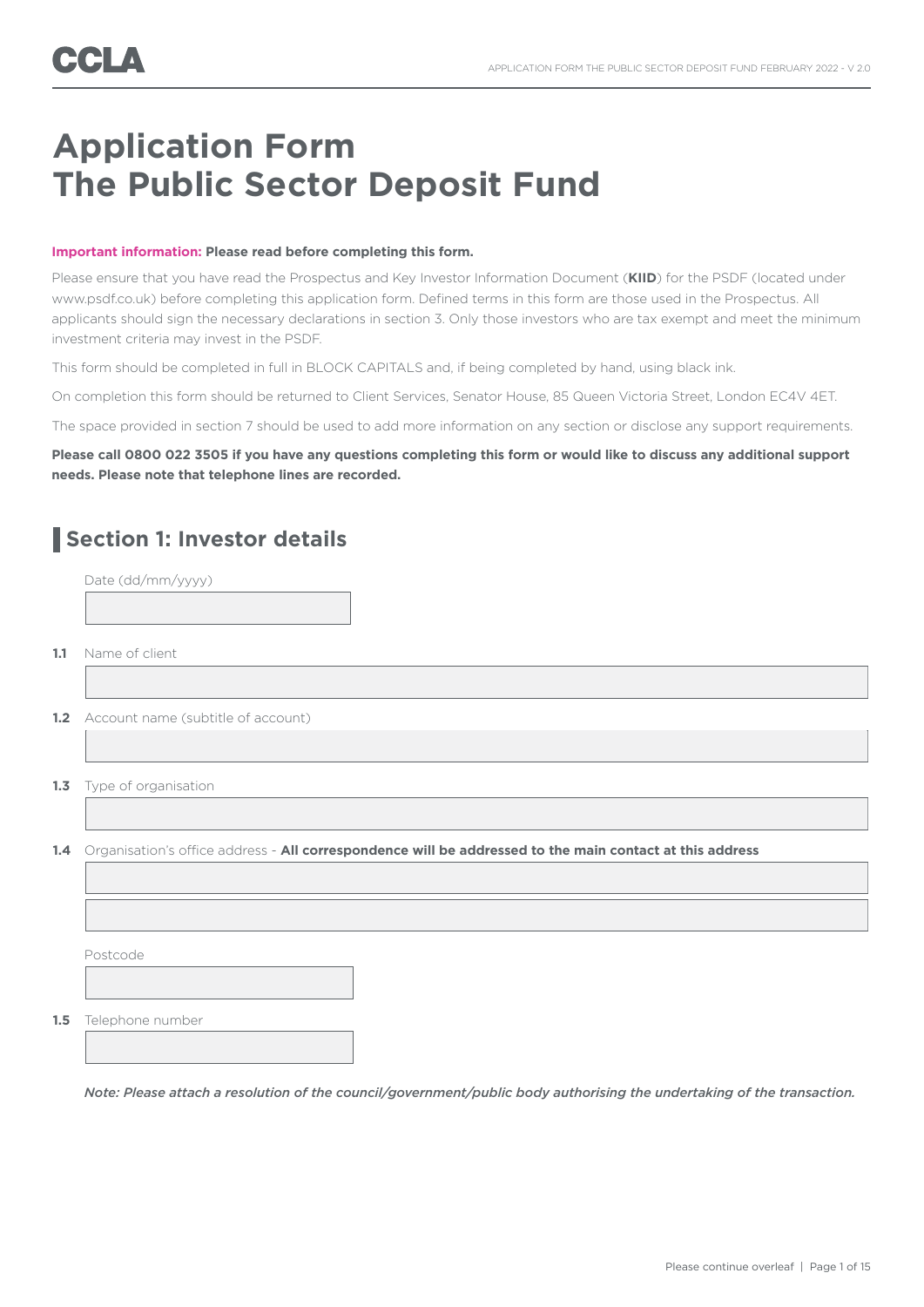# **Application Form The Public Sector Deposit Fund**

#### **Important information: Please read before completing this form.**

Please ensure that you have read the Prospectus and Key Investor Information Document (**KIID**) for the PSDF (located under www.psdf.co.uk) before completing this application form. Defined terms in this form are those used in the Prospectus. All applicants should sign the necessary declarations in section 3. Only those investors who are tax exempt and meet the minimum investment criteria may invest in the PSDF.

This form should be completed in full in BLOCK CAPITALS and, if being completed by hand, using black ink.

On completion this form should be returned to Client Services, Senator House, 85 Queen Victoria Street, London EC4V 4ET.

The space provided in section 7 should be used to add more information on any section or disclose any support requirements.

### **Please call 0800 022 3505 if you have any questions completing this form or would like to discuss any additional support needs. Please note that telephone lines are recorded.**

## **Section 1: Investor details**

|     | Date (dd/mm/yyyy)                                                                                        |
|-----|----------------------------------------------------------------------------------------------------------|
|     |                                                                                                          |
|     |                                                                                                          |
| 1.1 | Name of client                                                                                           |
|     |                                                                                                          |
|     | 1.2 Account name (subtitle of account)                                                                   |
|     |                                                                                                          |
| 1.3 | Type of organisation                                                                                     |
|     |                                                                                                          |
| 1.4 | Organisation's office address - All correspondence will be addressed to the main contact at this address |
|     |                                                                                                          |
|     |                                                                                                          |
|     | Postcode                                                                                                 |
|     |                                                                                                          |
| 1.5 | Telephone number                                                                                         |
|     |                                                                                                          |
|     |                                                                                                          |

*Note: Please attach a resolution of the council/government/public body authorising the undertaking of the transaction.*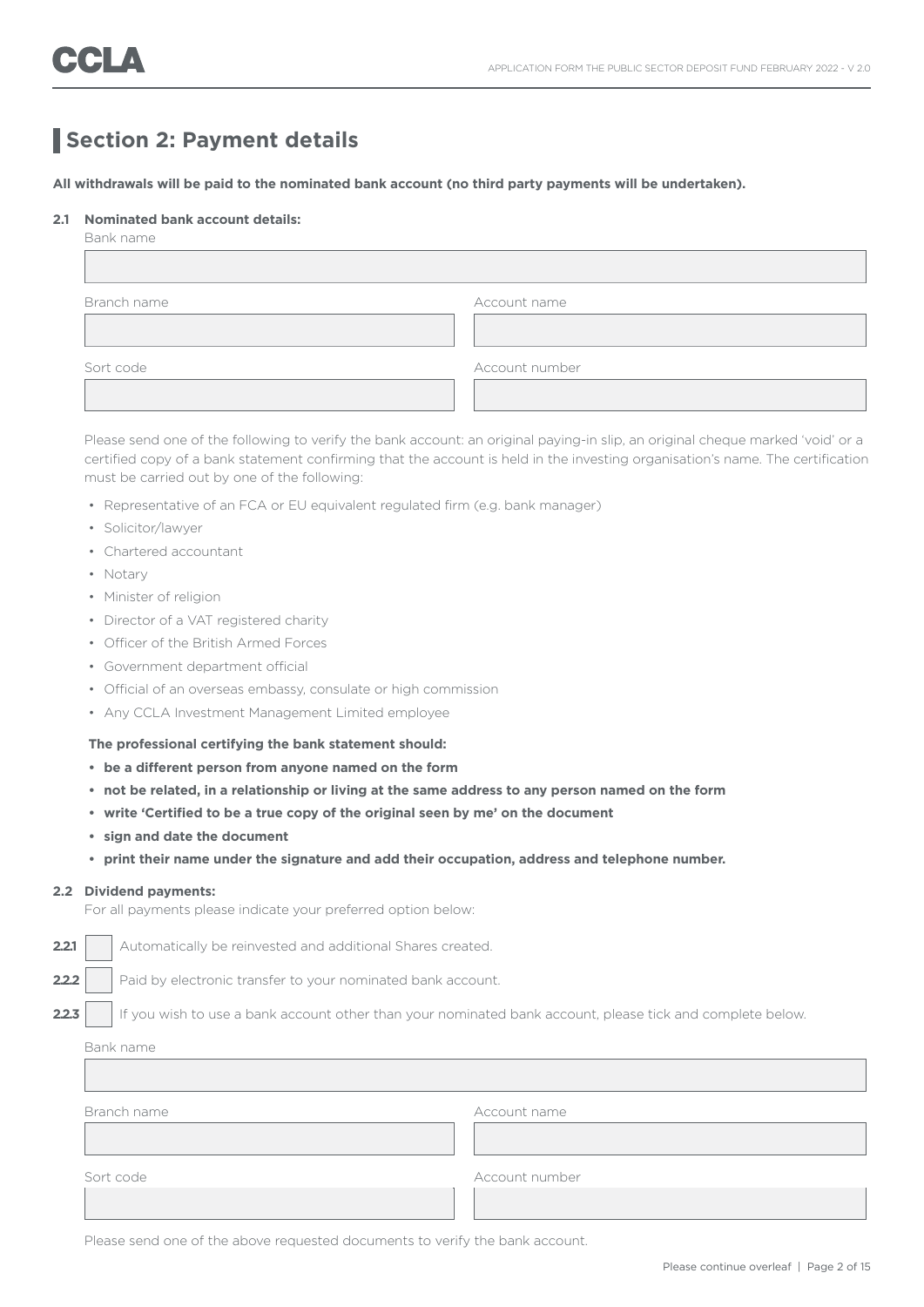## **Section 2: Payment details**

**All withdrawals will be paid to the nominated bank account (no third party payments will be undertaken).** 

#### **2.1 Nominated bank account details:**

| Bank name   |                |  |
|-------------|----------------|--|
|             |                |  |
|             |                |  |
| Branch name | Account name   |  |
|             |                |  |
|             |                |  |
| Sort code   | Account number |  |
|             |                |  |
|             |                |  |

 Please send one of the following to verify the bank account: an original paying-in slip, an original cheque marked 'void' or a certified copy of a bank statement confirming that the account is held in the investing organisation's name. The certification must be carried out by one of the following:

- Representative of an FCA or EU equivalent regulated firm (e.g. bank manager)
- Solicitor/lawyer
- Chartered accountant
- Notary
- Minister of religion
- Director of a VAT registered charity
- Officer of the British Armed Forces
- Government department official
- Official of an overseas embassy, consulate or high commission
- Any CCLA Investment Management Limited employee

#### **The professional certifying the bank statement should:**

- **• be a different person from anyone named on the form**
- **• not be related, in a relationship or living at the same address to any person named on the form**
- **• write 'Certified to be a true copy of the original seen by me' on the document**
- **• sign and date the document**
- **• print their name under the signature and add their occupation, address and telephone number.**

#### **2.2 Dividend payments:**

For all payments please indicate your preferred option below:

**2.2.1** Automatically be reinvested and additional Shares created.

**2.2.2** Paid by electronic transfer to your nominated bank account.

**2.2.3** If you wish to use a bank account other than your nominated bank account, please tick and complete below.

Bank name

| Account name   |
|----------------|
|                |
| Account number |
|                |
|                |

Please send one of the above requested documents to verify the bank account.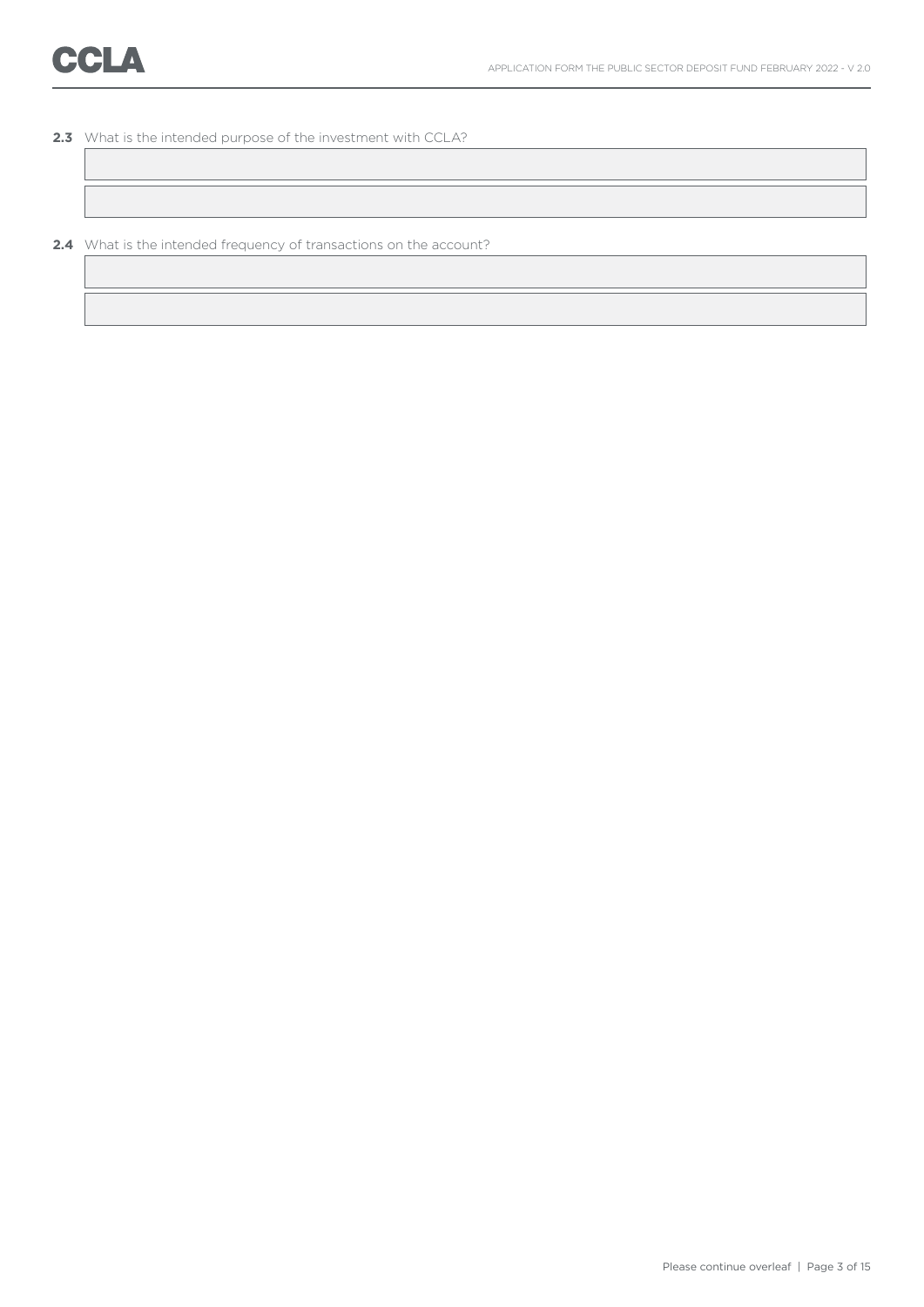**2.3** What is the intended purpose of the investment with CCLA?

**2.4** What is the intended frequency of transactions on the account?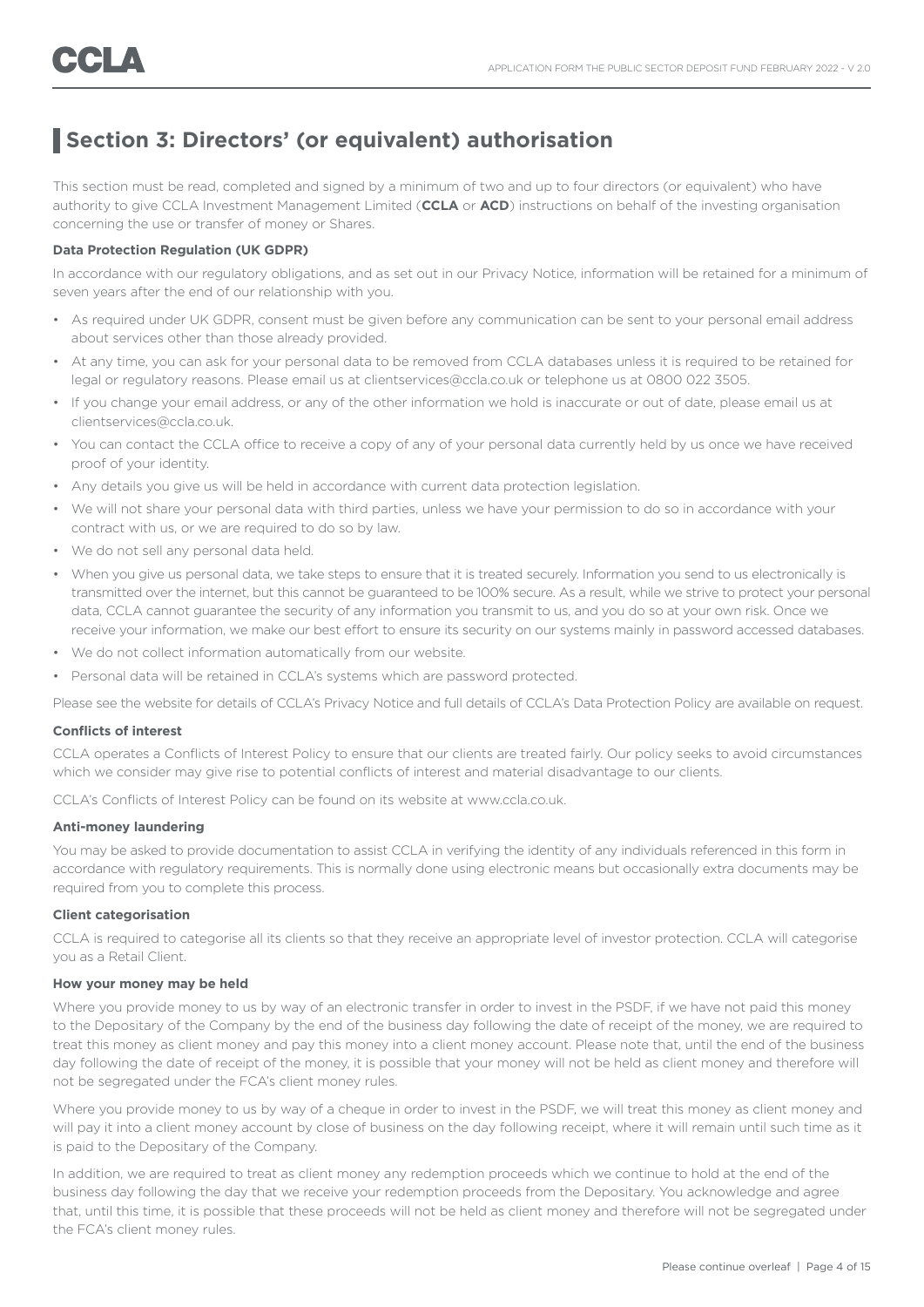## **Section 3: Directors' (or equivalent) authorisation**

This section must be read, completed and signed by a minimum of two and up to four directors (or equivalent) who have authority to give CCLA Investment Management Limited (**CCLA** or **ACD**) instructions on behalf of the investing organisation concerning the use or transfer of money or Shares.

### **Data Protection Regulation (UK GDPR)**

In accordance with our regulatory obligations, and as set out in our Privacy Notice, information will be retained for a minimum of seven years after the end of our relationship with you.

- As required under UK GDPR, consent must be given before any communication can be sent to your personal email address about services other than those already provided.
- At any time, you can ask for your personal data to be removed from CCLA databases unless it is required to be retained for legal or regulatory reasons. Please email us at clientservices@ccla.co.uk or telephone us at 0800 022 3505.
- If you change your email address, or any of the other information we hold is inaccurate or out of date, please email us at clientservices@ccla.co.uk.
- You can contact the CCLA office to receive a copy of any of your personal data currently held by us once we have received proof of your identity.
- Any details you give us will be held in accordance with current data protection legislation.
- We will not share your personal data with third parties, unless we have your permission to do so in accordance with your contract with us, or we are required to do so by law.
- We do not sell any personal data held.
- When you give us personal data, we take steps to ensure that it is treated securely. Information you send to us electronically is transmitted over the internet, but this cannot be guaranteed to be 100% secure. As a result, while we strive to protect your personal data, CCLA cannot guarantee the security of any information you transmit to us, and you do so at your own risk. Once we receive your information, we make our best effort to ensure its security on our systems mainly in password accessed databases.
- We do not collect information automatically from our website.
- Personal data will be retained in CCLA's systems which are password protected.

Please see the website for details of CCLA's Privacy Notice and full details of CCLA's Data Protection Policy are available on request.

#### **Conflicts of interest**

CCLA operates a Conflicts of Interest Policy to ensure that our clients are treated fairly. Our policy seeks to avoid circumstances which we consider may give rise to potential conflicts of interest and material disadvantage to our clients.

CCLA's Conflicts of Interest Policy can be found on its website at www.ccla.co.uk.

### **Anti-money laundering**

You may be asked to provide documentation to assist CCLA in verifying the identity of any individuals referenced in this form in accordance with regulatory requirements. This is normally done using electronic means but occasionally extra documents may be required from you to complete this process.

#### **Client categorisation**

CCLA is required to categorise all its clients so that they receive an appropriate level of investor protection. CCLA will categorise you as a Retail Client.

#### **How your money may be held**

Where you provide money to us by way of an electronic transfer in order to invest in the PSDF, if we have not paid this money to the Depositary of the Company by the end of the business day following the date of receipt of the money, we are required to treat this money as client money and pay this money into a client money account. Please note that, until the end of the business day following the date of receipt of the money, it is possible that your money will not be held as client money and therefore will not be segregated under the FCA's client money rules.

Where you provide money to us by way of a cheque in order to invest in the PSDF, we will treat this money as client money and will pay it into a client money account by close of business on the day following receipt, where it will remain until such time as it is paid to the Depositary of the Company.

In addition, we are required to treat as client money any redemption proceeds which we continue to hold at the end of the business day following the day that we receive your redemption proceeds from the Depositary. You acknowledge and agree that, until this time, it is possible that these proceeds will not be held as client money and therefore will not be segregated under the FCA's client money rules.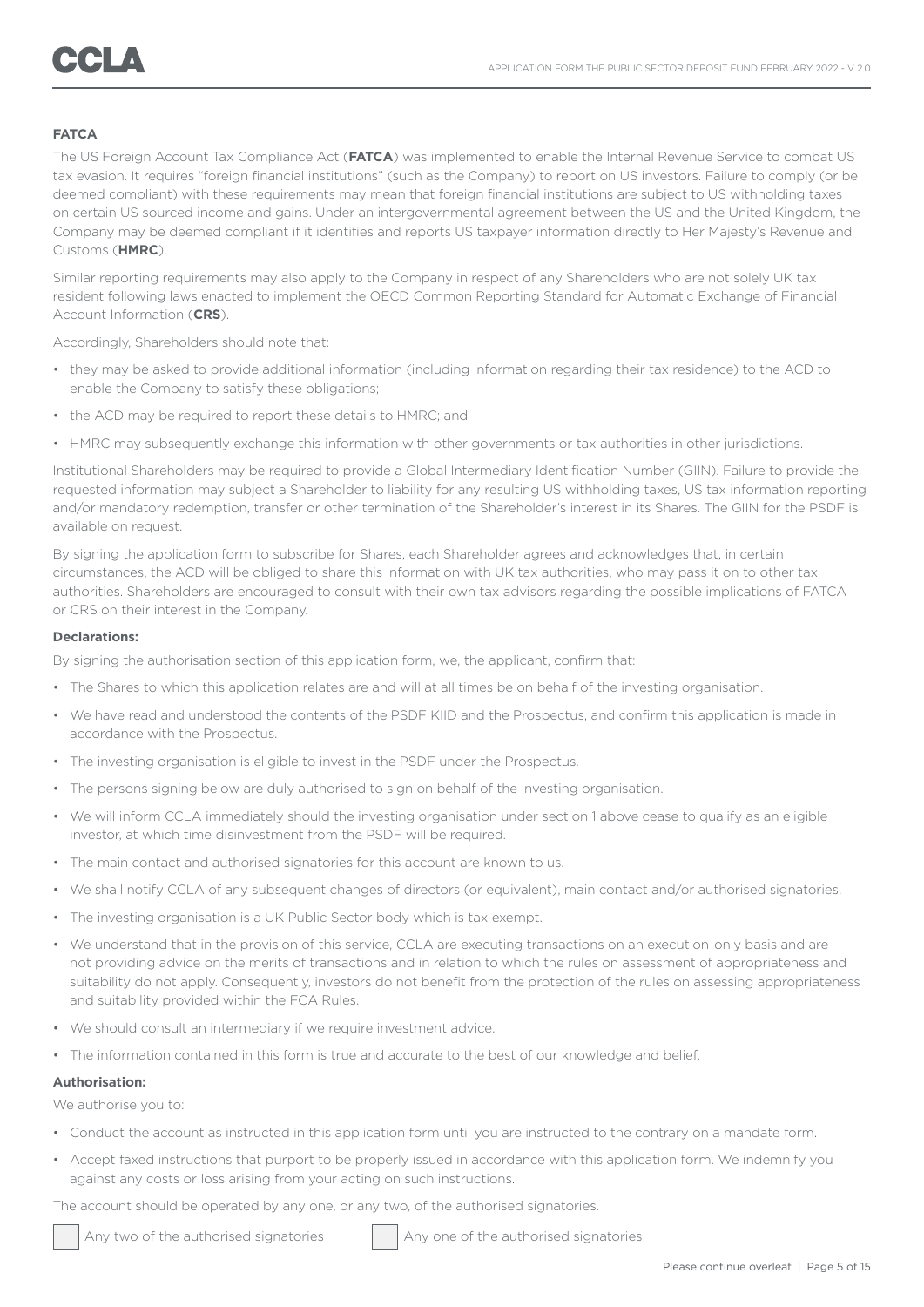### **FATCA**

The US Foreign Account Tax Compliance Act (**FATCA**) was implemented to enable the Internal Revenue Service to combat US tax evasion. It requires "foreign financial institutions" (such as the Company) to report on US investors. Failure to comply (or be deemed compliant) with these requirements may mean that foreign financial institutions are subject to US withholding taxes on certain US sourced income and gains. Under an intergovernmental agreement between the US and the United Kingdom, the Company may be deemed compliant if it identifies and reports US taxpayer information directly to Her Majesty's Revenue and Customs (**HMRC**).

Similar reporting requirements may also apply to the Company in respect of any Shareholders who are not solely UK tax resident following laws enacted to implement the OECD Common Reporting Standard for Automatic Exchange of Financial Account Information (**CRS**).

Accordingly, Shareholders should note that:

- they may be asked to provide additional information (including information regarding their tax residence) to the ACD to enable the Company to satisfy these obligations;
- the ACD may be required to report these details to HMRC; and
- HMRC may subsequently exchange this information with other governments or tax authorities in other jurisdictions.

Institutional Shareholders may be required to provide a Global Intermediary Identification Number (GIIN). Failure to provide the requested information may subject a Shareholder to liability for any resulting US withholding taxes, US tax information reporting and/or mandatory redemption, transfer or other termination of the Shareholder's interest in its Shares. The GIIN for the PSDF is available on request.

By signing the application form to subscribe for Shares, each Shareholder agrees and acknowledges that, in certain circumstances, the ACD will be obliged to share this information with UK tax authorities, who may pass it on to other tax authorities. Shareholders are encouraged to consult with their own tax advisors regarding the possible implications of FATCA or CRS on their interest in the Company.

### **Declarations:**

By signing the authorisation section of this application form, we, the applicant, confirm that:

- The Shares to which this application relates are and will at all times be on behalf of the investing organisation.
- We have read and understood the contents of the PSDF KIID and the Prospectus, and confirm this application is made in accordance with the Prospectus.
- The investing organisation is eligible to invest in the PSDF under the Prospectus.
- The persons signing below are duly authorised to sign on behalf of the investing organisation.
- We will inform CCLA immediately should the investing organisation under section 1 above cease to qualify as an eligible investor, at which time disinvestment from the PSDF will be required.
- The main contact and authorised signatories for this account are known to us.
- We shall notify CCLA of any subsequent changes of directors (or equivalent), main contact and/or authorised signatories.
- The investing organisation is a UK Public Sector body which is tax exempt.
- We understand that in the provision of this service, CCLA are executing transactions on an execution-only basis and are not providing advice on the merits of transactions and in relation to which the rules on assessment of appropriateness and suitability do not apply. Consequently, investors do not benefit from the protection of the rules on assessing appropriateness and suitability provided within the FCA Rules.
- We should consult an intermediary if we require investment advice.
- The information contained in this form is true and accurate to the best of our knowledge and belief.

#### **Authorisation:**

Ī

We authorise you to:

- Conduct the account as instructed in this application form until you are instructed to the contrary on a mandate form.
- Accept faxed instructions that purport to be properly issued in accordance with this application form. We indemnify you against any costs or loss arising from your acting on such instructions.

The account should be operated by any one, or any two, of the authorised signatories.

Any two of the authorised signatories Any one of the authorised signatories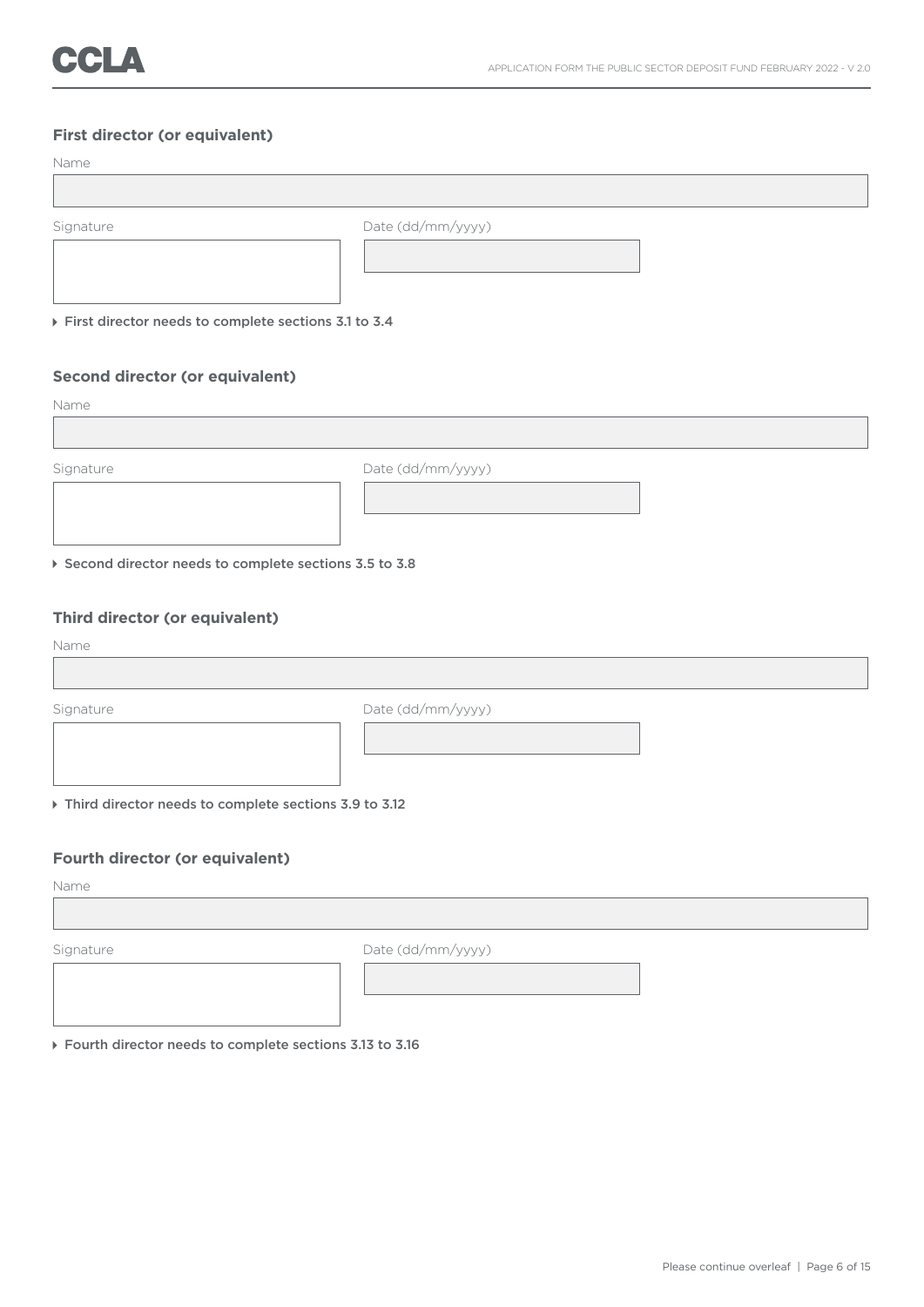## **First director (or equivalent)**

| Name                                                    |                   |
|---------------------------------------------------------|-------------------|
|                                                         |                   |
| Signature                                               | Date (dd/mm/yyyy) |
|                                                         |                   |
| First director needs to complete sections 3.1 to 3.4    |                   |
|                                                         |                   |
| Second director (or equivalent)                         |                   |
| Name                                                    |                   |
|                                                         |                   |
| Signature                                               | Date (dd/mm/yyyy) |
|                                                         |                   |
|                                                         |                   |
| ▶ Second director needs to complete sections 3.5 to 3.8 |                   |

## **Third director (or equivalent)**

Name

Signature Date (dd/mm/yyyy) Third director needs to complete sections 3.9 to 3.12

**Fourth director (or equivalent)**

Name

Signature Date (dd/mm/yyyy)

Fourth director needs to complete sections 3.13 to 3.16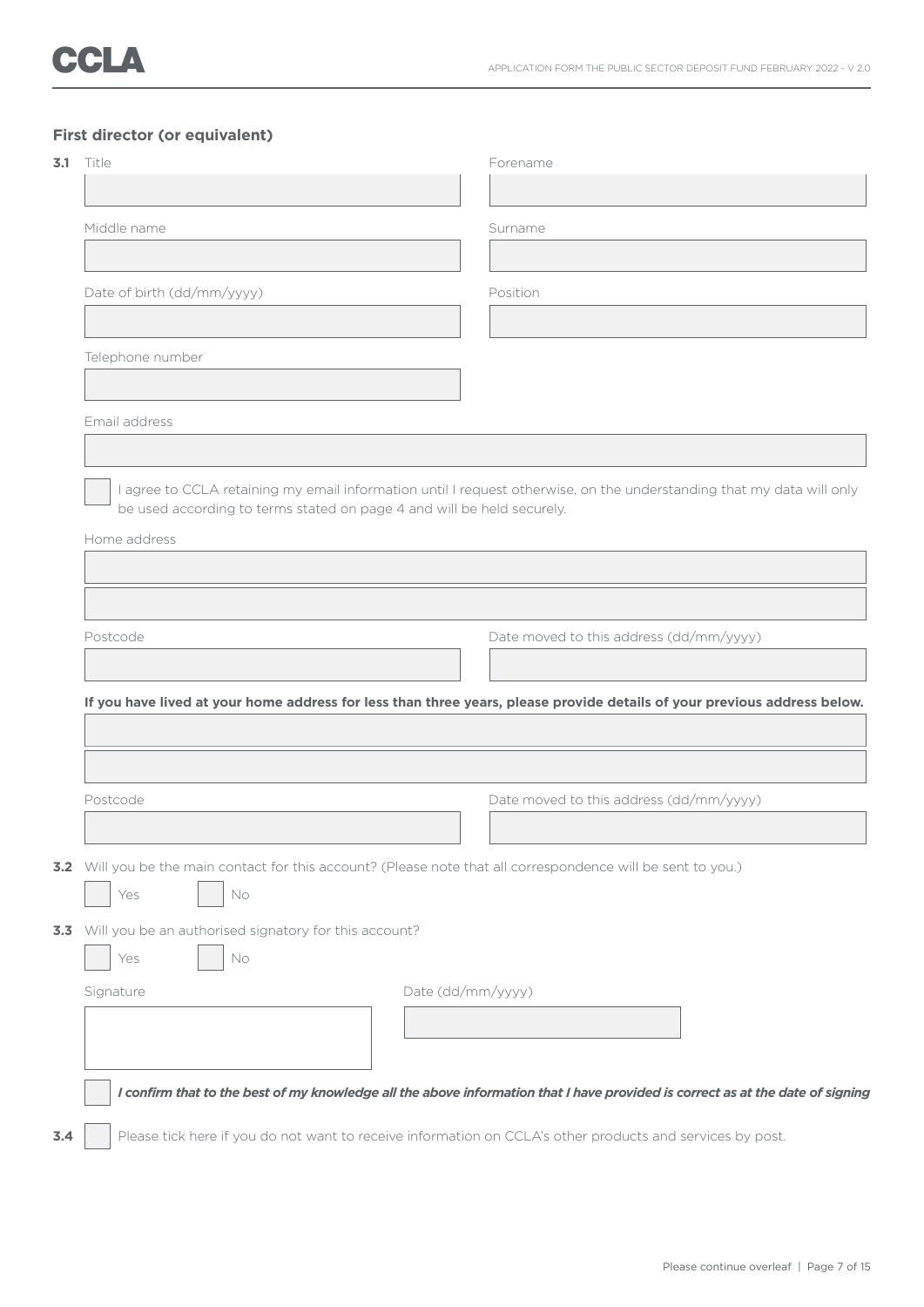## **First director (or equivalent)**

| Title                                                                  |                   | Forename                                                                                                                       |  |
|------------------------------------------------------------------------|-------------------|--------------------------------------------------------------------------------------------------------------------------------|--|
|                                                                        |                   |                                                                                                                                |  |
| Middle name                                                            |                   | Surname                                                                                                                        |  |
|                                                                        |                   |                                                                                                                                |  |
| Date of birth (dd/mm/yyyy)                                             |                   | Position                                                                                                                       |  |
|                                                                        |                   |                                                                                                                                |  |
| Telephone number                                                       |                   |                                                                                                                                |  |
|                                                                        |                   |                                                                                                                                |  |
| Email address                                                          |                   |                                                                                                                                |  |
|                                                                        |                   |                                                                                                                                |  |
|                                                                        |                   | I agree to CCLA retaining my email information until I request otherwise, on the understanding that my data will only          |  |
| be used according to terms stated on page 4 and will be held securely. |                   |                                                                                                                                |  |
| Home address                                                           |                   |                                                                                                                                |  |
|                                                                        |                   |                                                                                                                                |  |
|                                                                        |                   |                                                                                                                                |  |
|                                                                        |                   |                                                                                                                                |  |
|                                                                        |                   |                                                                                                                                |  |
| Postcode                                                               |                   |                                                                                                                                |  |
|                                                                        |                   | Date moved to this address (dd/mm/yyyy)                                                                                        |  |
|                                                                        |                   |                                                                                                                                |  |
|                                                                        |                   | If you have lived at your home address for less than three years, please provide details of your previous address below.       |  |
|                                                                        |                   |                                                                                                                                |  |
|                                                                        |                   |                                                                                                                                |  |
|                                                                        |                   |                                                                                                                                |  |
| Postcode                                                               |                   | Date moved to this address (dd/mm/yyyy)                                                                                        |  |
|                                                                        |                   |                                                                                                                                |  |
|                                                                        |                   |                                                                                                                                |  |
|                                                                        |                   | 3.2 Will you be the main contact for this account? (Please note that all correspondence will be sent to you.)                  |  |
| Yes<br>No                                                              |                   |                                                                                                                                |  |
|                                                                        |                   |                                                                                                                                |  |
| 3.3 Will you be an authorised signatory for this account?              |                   |                                                                                                                                |  |
| Yes<br>No                                                              |                   |                                                                                                                                |  |
| Signature                                                              | Date (dd/mm/yyyy) |                                                                                                                                |  |
|                                                                        |                   |                                                                                                                                |  |
|                                                                        |                   |                                                                                                                                |  |
|                                                                        |                   |                                                                                                                                |  |
|                                                                        |                   | I confirm that to the best of my knowledge all the above information that I have provided is correct as at the date of signing |  |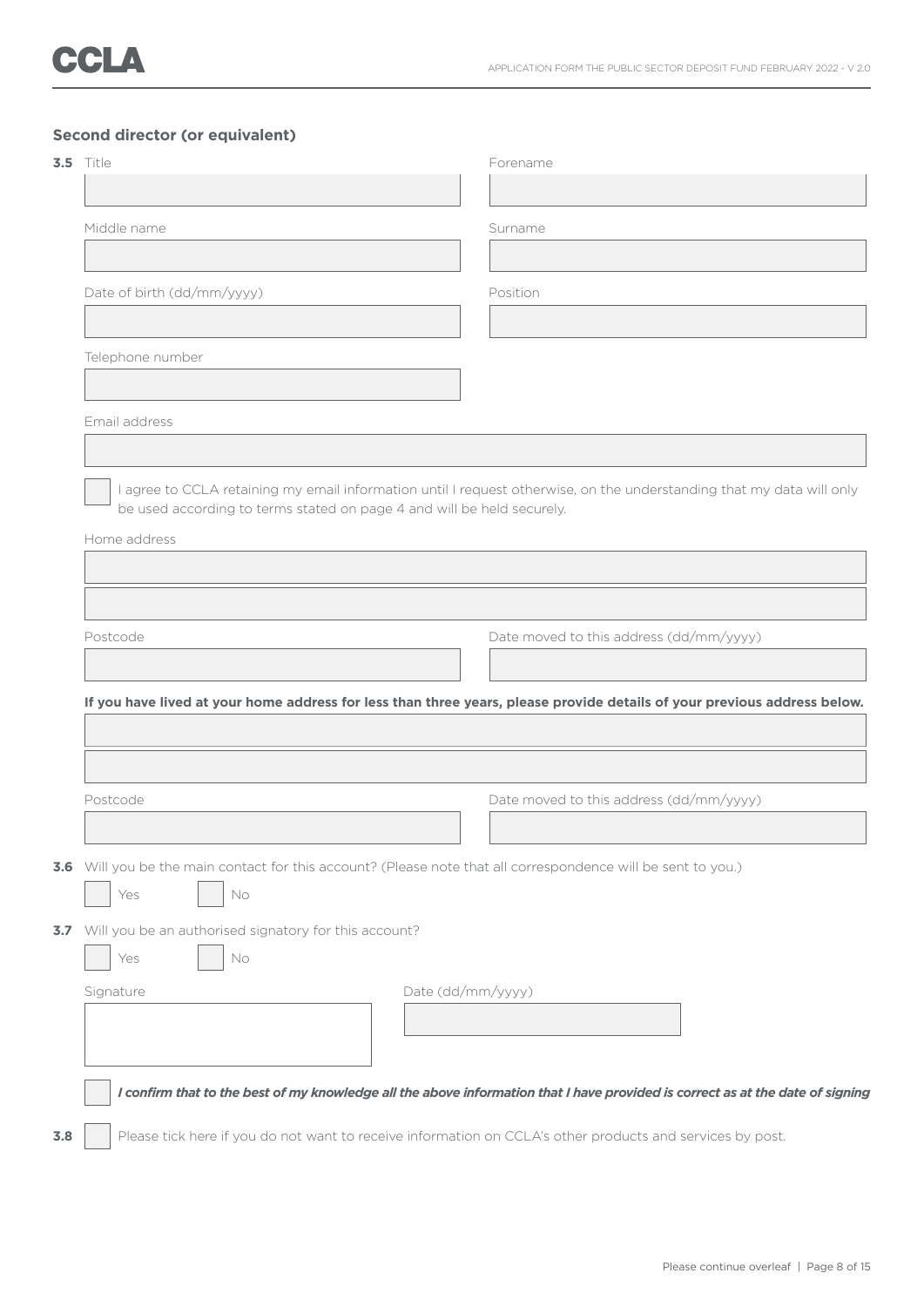## **Second director (or equivalent)**

| <b>3.5</b> Title                                                                   |                   | Forename                                                                                                                 |
|------------------------------------------------------------------------------------|-------------------|--------------------------------------------------------------------------------------------------------------------------|
|                                                                                    |                   |                                                                                                                          |
| Middle name                                                                        |                   | Surname                                                                                                                  |
|                                                                                    |                   |                                                                                                                          |
| Date of birth (dd/mm/yyyy)                                                         |                   | Position                                                                                                                 |
|                                                                                    |                   |                                                                                                                          |
| Telephone number                                                                   |                   |                                                                                                                          |
|                                                                                    |                   |                                                                                                                          |
| Email address                                                                      |                   |                                                                                                                          |
|                                                                                    |                   |                                                                                                                          |
|                                                                                    |                   | I agree to CCLA retaining my email information until I request otherwise, on the understanding that my data will only    |
| be used according to terms stated on page 4 and will be held securely.             |                   |                                                                                                                          |
| Home address                                                                       |                   |                                                                                                                          |
|                                                                                    |                   |                                                                                                                          |
|                                                                                    |                   |                                                                                                                          |
|                                                                                    |                   |                                                                                                                          |
|                                                                                    |                   | Date moved to this address (dd/mm/yyyy)                                                                                  |
| Postcode                                                                           |                   |                                                                                                                          |
|                                                                                    |                   | If you have lived at your home address for less than three years, please provide details of your previous address below. |
|                                                                                    |                   |                                                                                                                          |
|                                                                                    |                   |                                                                                                                          |
|                                                                                    |                   |                                                                                                                          |
|                                                                                    |                   | Date moved to this address (dd/mm/yyyy)                                                                                  |
|                                                                                    |                   |                                                                                                                          |
|                                                                                    |                   | 3.6 Will you be the main contact for this account? (Please note that all correspondence will be sent to you.)            |
| Yes<br>No                                                                          |                   |                                                                                                                          |
|                                                                                    |                   |                                                                                                                          |
| Yes<br>No                                                                          |                   |                                                                                                                          |
|                                                                                    | Date (dd/mm/yyyy) |                                                                                                                          |
| Postcode<br>3.7 Will you be an authorised signatory for this account?<br>Signature |                   |                                                                                                                          |
|                                                                                    |                   |                                                                                                                          |
|                                                                                    |                   |                                                                                                                          |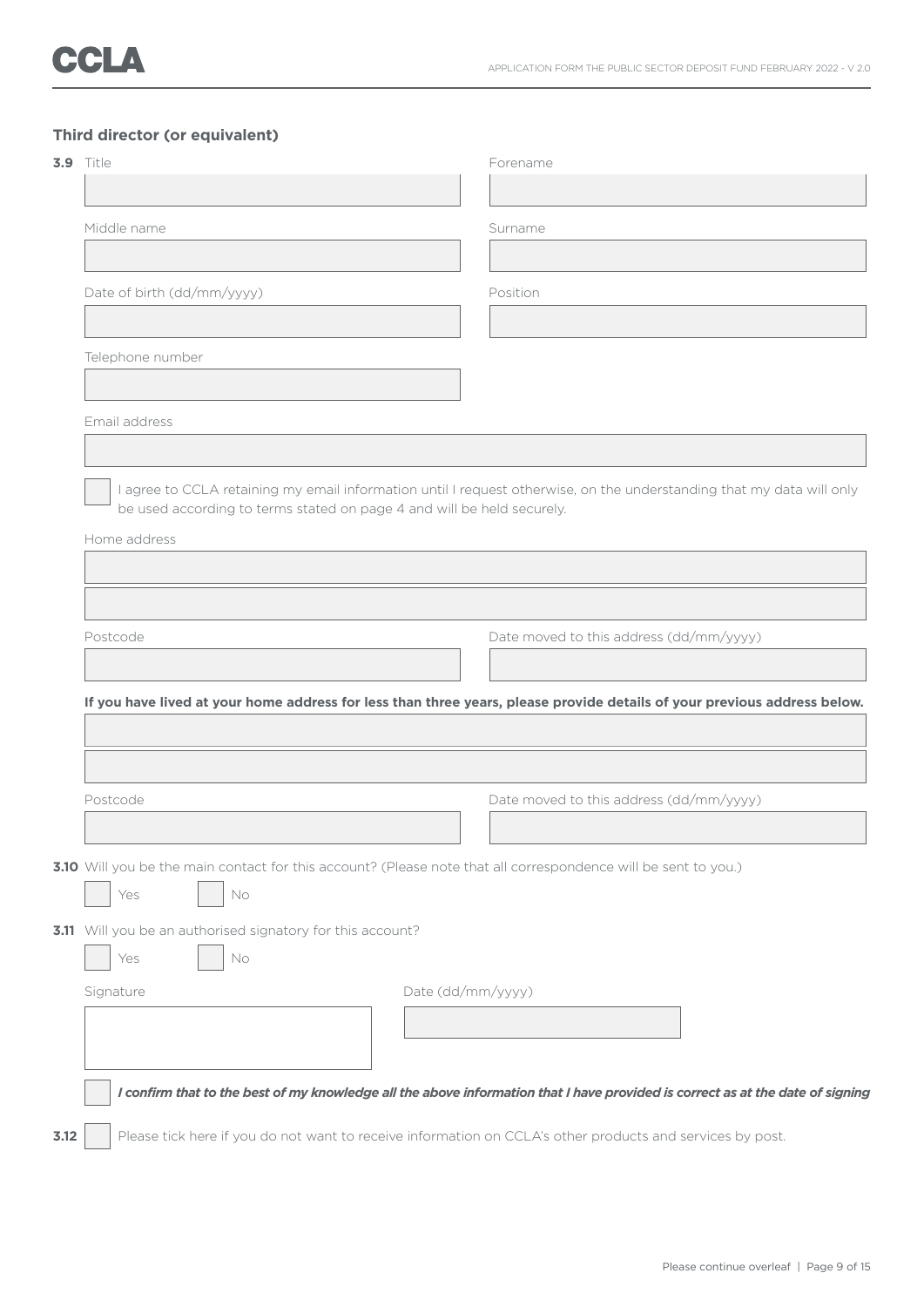## **Third director (or equivalent)**

| <b>3.9</b> Title                                                       |                   | Forename                                                                                                                 |  |  |
|------------------------------------------------------------------------|-------------------|--------------------------------------------------------------------------------------------------------------------------|--|--|
|                                                                        |                   |                                                                                                                          |  |  |
| Middle name                                                            |                   | Surname                                                                                                                  |  |  |
|                                                                        |                   |                                                                                                                          |  |  |
| Date of birth (dd/mm/yyyy)                                             |                   | Position                                                                                                                 |  |  |
|                                                                        |                   |                                                                                                                          |  |  |
| Telephone number                                                       |                   |                                                                                                                          |  |  |
|                                                                        |                   |                                                                                                                          |  |  |
| Email address                                                          |                   |                                                                                                                          |  |  |
|                                                                        |                   |                                                                                                                          |  |  |
|                                                                        |                   | I agree to CCLA retaining my email information until I request otherwise, on the understanding that my data will only    |  |  |
| be used according to terms stated on page 4 and will be held securely. |                   |                                                                                                                          |  |  |
| Home address                                                           |                   |                                                                                                                          |  |  |
|                                                                        |                   |                                                                                                                          |  |  |
|                                                                        |                   |                                                                                                                          |  |  |
|                                                                        |                   |                                                                                                                          |  |  |
| Postcode                                                               |                   |                                                                                                                          |  |  |
|                                                                        |                   | Date moved to this address (dd/mm/yyyy)                                                                                  |  |  |
|                                                                        |                   |                                                                                                                          |  |  |
|                                                                        |                   | If you have lived at your home address for less than three years, please provide details of your previous address below. |  |  |
|                                                                        |                   |                                                                                                                          |  |  |
|                                                                        |                   |                                                                                                                          |  |  |
| Postcode                                                               |                   | Date moved to this address (dd/mm/yyyy)                                                                                  |  |  |
|                                                                        |                   |                                                                                                                          |  |  |
|                                                                        |                   | 3.10 Will you be the main contact for this account? (Please note that all correspondence will be sent to you.)           |  |  |
| Yes<br>No                                                              |                   |                                                                                                                          |  |  |
| 3.11 Will you be an authorised signatory for this account?             |                   |                                                                                                                          |  |  |
| Yes<br>No                                                              |                   |                                                                                                                          |  |  |
| Signature                                                              | Date (dd/mm/yyyy) |                                                                                                                          |  |  |
|                                                                        |                   |                                                                                                                          |  |  |
|                                                                        |                   |                                                                                                                          |  |  |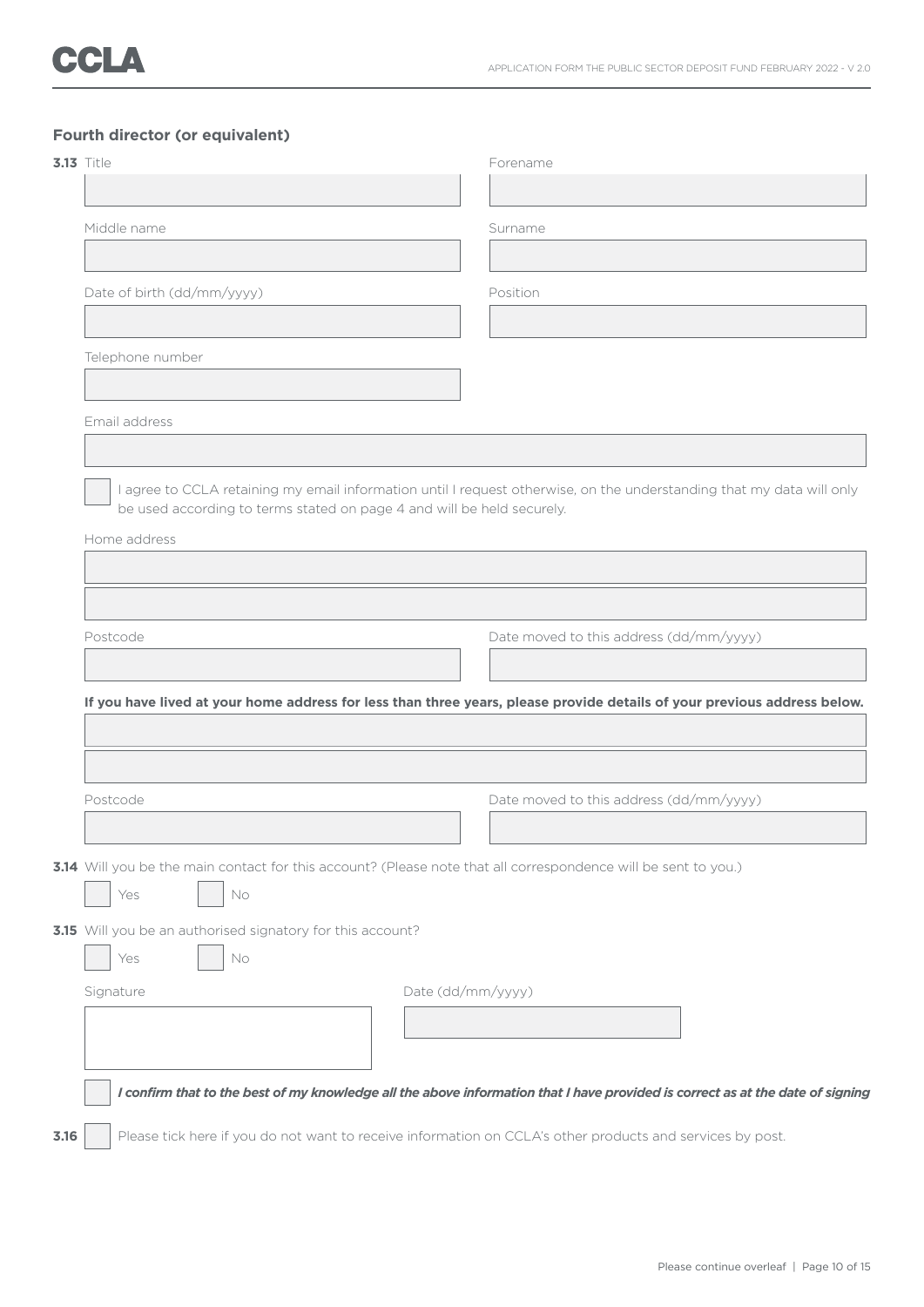## **Fourth director (or equivalent)**

| <b>3.13</b> Title                                                                               |                   | Forename                                                                                                                 |  |
|-------------------------------------------------------------------------------------------------|-------------------|--------------------------------------------------------------------------------------------------------------------------|--|
|                                                                                                 |                   |                                                                                                                          |  |
| Middle name                                                                                     |                   | Surname                                                                                                                  |  |
|                                                                                                 |                   |                                                                                                                          |  |
| Date of birth (dd/mm/yyyy)                                                                      |                   | Position                                                                                                                 |  |
|                                                                                                 |                   |                                                                                                                          |  |
| Telephone number                                                                                |                   |                                                                                                                          |  |
|                                                                                                 |                   |                                                                                                                          |  |
| Email address                                                                                   |                   |                                                                                                                          |  |
|                                                                                                 |                   |                                                                                                                          |  |
|                                                                                                 |                   | I agree to CCLA retaining my email information until I request otherwise, on the understanding that my data will only    |  |
| be used according to terms stated on page 4 and will be held securely.                          |                   |                                                                                                                          |  |
| Home address                                                                                    |                   |                                                                                                                          |  |
|                                                                                                 |                   |                                                                                                                          |  |
|                                                                                                 |                   |                                                                                                                          |  |
|                                                                                                 |                   |                                                                                                                          |  |
|                                                                                                 |                   |                                                                                                                          |  |
|                                                                                                 |                   | Date moved to this address (dd/mm/yyyy)                                                                                  |  |
|                                                                                                 |                   |                                                                                                                          |  |
|                                                                                                 |                   | If you have lived at your home address for less than three years, please provide details of your previous address below. |  |
|                                                                                                 |                   |                                                                                                                          |  |
|                                                                                                 |                   |                                                                                                                          |  |
|                                                                                                 |                   |                                                                                                                          |  |
|                                                                                                 |                   | Date moved to this address (dd/mm/yyyy)                                                                                  |  |
|                                                                                                 |                   |                                                                                                                          |  |
|                                                                                                 |                   | 3.14 Will you be the main contact for this account? (Please note that all correspondence will be sent to you.)           |  |
| Yes<br>No                                                                                       |                   |                                                                                                                          |  |
|                                                                                                 |                   |                                                                                                                          |  |
| Yes<br>No                                                                                       |                   |                                                                                                                          |  |
|                                                                                                 | Date (dd/mm/yyyy) |                                                                                                                          |  |
|                                                                                                 |                   |                                                                                                                          |  |
|                                                                                                 |                   |                                                                                                                          |  |
| Postcode<br>Postcode<br>3.15 Will you be an authorised signatory for this account?<br>Signature |                   |                                                                                                                          |  |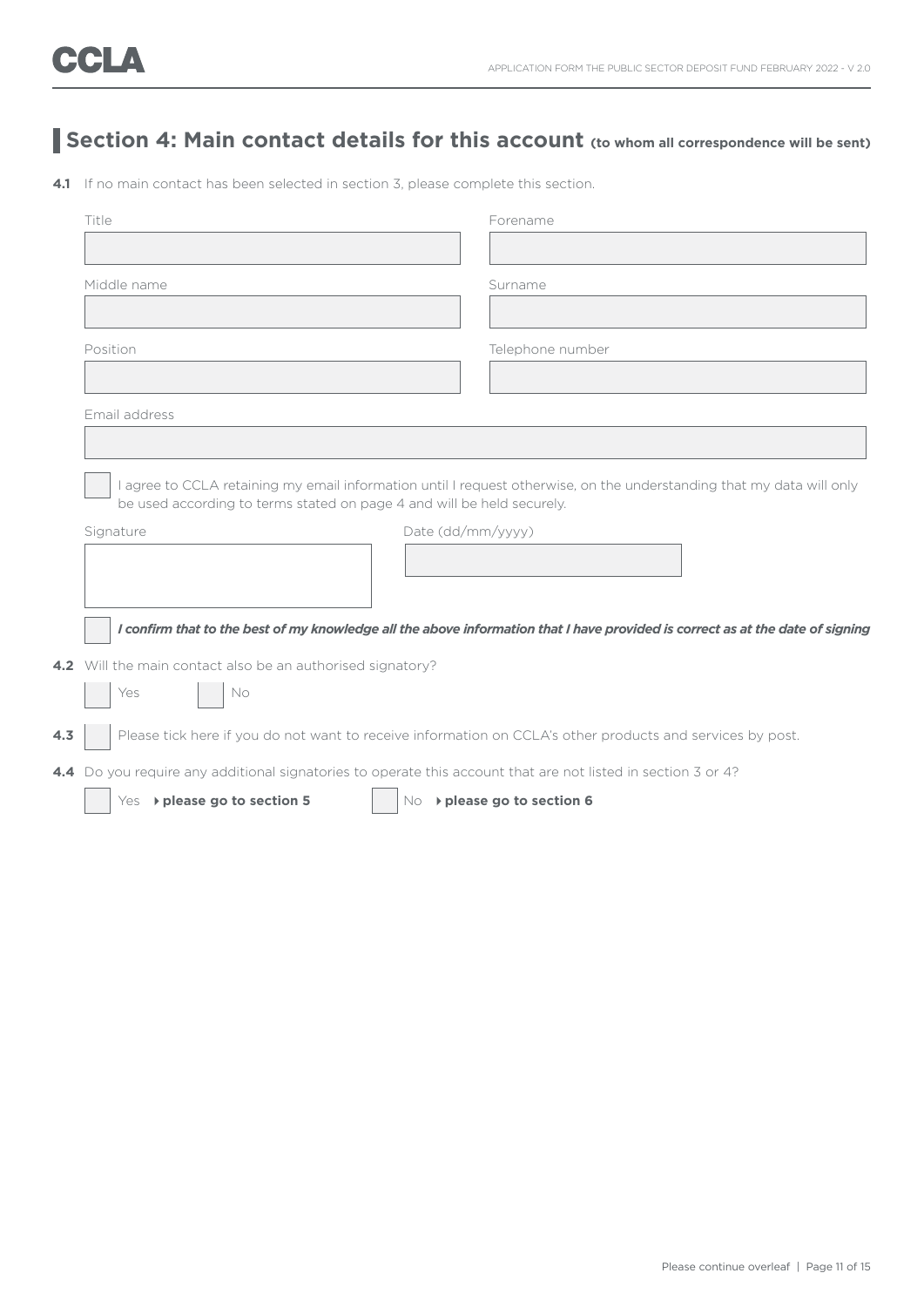## **Section 4: Main contact details for this account (to whom all correspondence will be sent)**

**4.1** If no main contact has been selected in section 3, please complete this section.

|     | Title                                                                                                                                                                                           |                   | Forename                     |  |
|-----|-------------------------------------------------------------------------------------------------------------------------------------------------------------------------------------------------|-------------------|------------------------------|--|
|     |                                                                                                                                                                                                 |                   |                              |  |
|     | Middle name                                                                                                                                                                                     |                   | Surname                      |  |
|     |                                                                                                                                                                                                 |                   |                              |  |
|     | Position                                                                                                                                                                                        |                   | Telephone number             |  |
|     |                                                                                                                                                                                                 |                   |                              |  |
|     | Email address                                                                                                                                                                                   |                   |                              |  |
|     |                                                                                                                                                                                                 |                   |                              |  |
|     | I agree to CCLA retaining my email information until I request otherwise, on the understanding that my data will only<br>be used according to terms stated on page 4 and will be held securely. |                   |                              |  |
|     | Signature                                                                                                                                                                                       | Date (dd/mm/yyyy) |                              |  |
|     |                                                                                                                                                                                                 |                   |                              |  |
|     |                                                                                                                                                                                                 |                   |                              |  |
|     | I confirm that to the best of my knowledge all the above information that I have provided is correct as at the date of signing                                                                  |                   |                              |  |
|     | 4.2 Will the main contact also be an authorised signatory?                                                                                                                                      |                   |                              |  |
|     | No<br>Yes                                                                                                                                                                                       |                   |                              |  |
| 4.3 | Please tick here if you do not want to receive information on CCLA's other products and services by post.                                                                                       |                   |                              |  |
|     | 4.4 Do you require any additional signatories to operate this account that are not listed in section 3 or 4?                                                                                    |                   |                              |  |
|     | Yes -> please go to section 5                                                                                                                                                                   |                   | No -> please go to section 6 |  |
|     |                                                                                                                                                                                                 |                   |                              |  |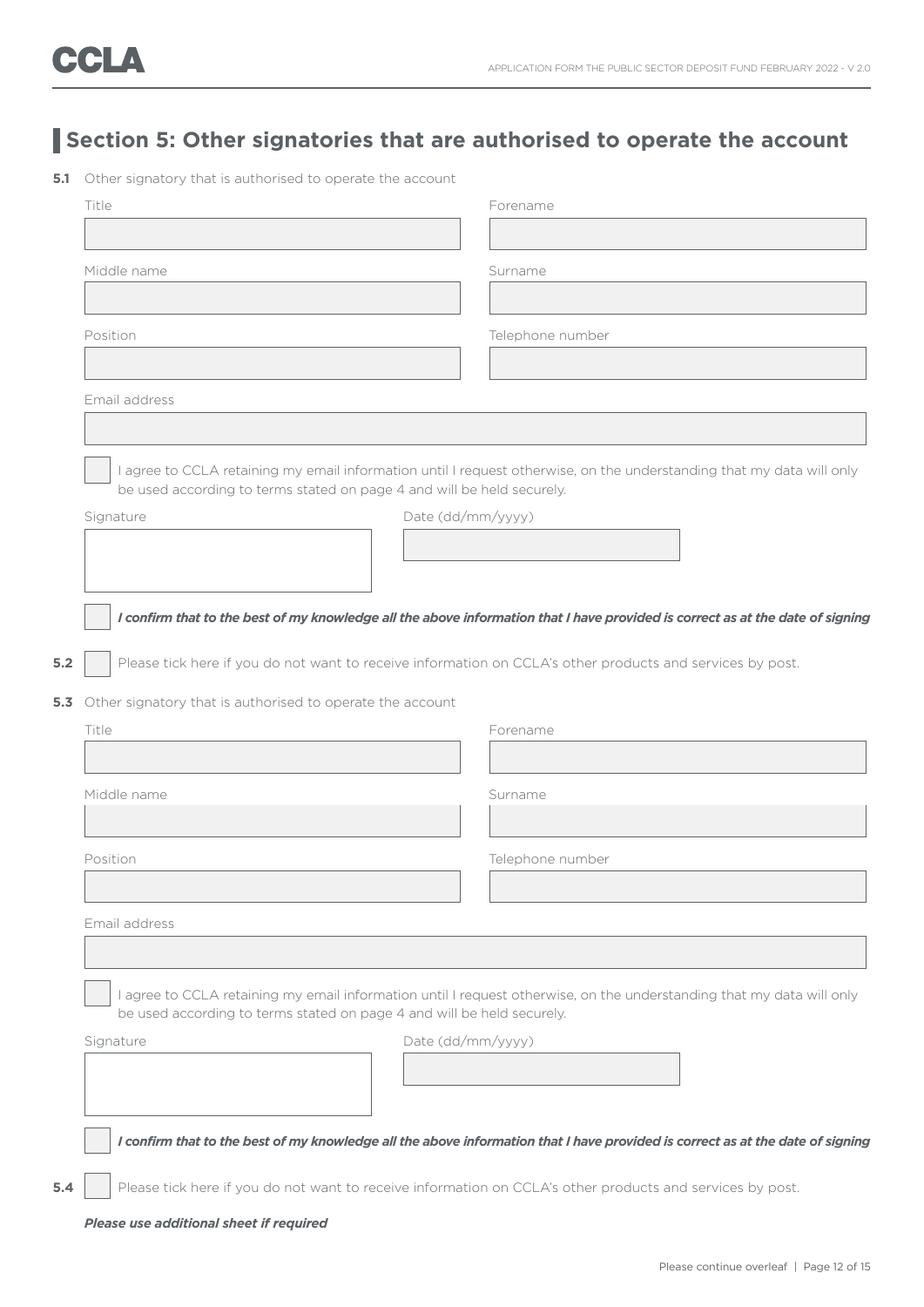## **Section 5: Other signatories that are authorised to operate the account**

**5.1** Other signatory that is authorised to operate the account

|       | Title                                                                                                                                                                                           | Forename                                                                                                                       |  |  |  |  |
|-------|-------------------------------------------------------------------------------------------------------------------------------------------------------------------------------------------------|--------------------------------------------------------------------------------------------------------------------------------|--|--|--|--|
|       |                                                                                                                                                                                                 |                                                                                                                                |  |  |  |  |
|       | Middle name                                                                                                                                                                                     | Surname                                                                                                                        |  |  |  |  |
|       |                                                                                                                                                                                                 |                                                                                                                                |  |  |  |  |
|       | Position                                                                                                                                                                                        | Telephone number                                                                                                               |  |  |  |  |
|       |                                                                                                                                                                                                 |                                                                                                                                |  |  |  |  |
|       | Email address                                                                                                                                                                                   |                                                                                                                                |  |  |  |  |
|       |                                                                                                                                                                                                 |                                                                                                                                |  |  |  |  |
|       |                                                                                                                                                                                                 |                                                                                                                                |  |  |  |  |
|       | be used according to terms stated on page 4 and will be held securely.                                                                                                                          | I agree to CCLA retaining my email information until I request otherwise, on the understanding that my data will only          |  |  |  |  |
|       | Signature                                                                                                                                                                                       | Date (dd/mm/yyyy)                                                                                                              |  |  |  |  |
|       |                                                                                                                                                                                                 |                                                                                                                                |  |  |  |  |
|       |                                                                                                                                                                                                 |                                                                                                                                |  |  |  |  |
|       |                                                                                                                                                                                                 |                                                                                                                                |  |  |  |  |
|       |                                                                                                                                                                                                 | I confirm that to the best of my knowledge all the above information that I have provided is correct as at the date of signing |  |  |  |  |
| $5.2$ | Please tick here if you do not want to receive information on CCLA's other products and services by post.                                                                                       |                                                                                                                                |  |  |  |  |
|       | 5.3 Other signatory that is authorised to operate the account                                                                                                                                   |                                                                                                                                |  |  |  |  |
|       | Title                                                                                                                                                                                           | Forename                                                                                                                       |  |  |  |  |
|       |                                                                                                                                                                                                 |                                                                                                                                |  |  |  |  |
|       | Middle name                                                                                                                                                                                     | Surname                                                                                                                        |  |  |  |  |
|       |                                                                                                                                                                                                 |                                                                                                                                |  |  |  |  |
|       | Position                                                                                                                                                                                        | Telephone number                                                                                                               |  |  |  |  |
|       |                                                                                                                                                                                                 |                                                                                                                                |  |  |  |  |
|       | Email address                                                                                                                                                                                   |                                                                                                                                |  |  |  |  |
|       |                                                                                                                                                                                                 |                                                                                                                                |  |  |  |  |
|       |                                                                                                                                                                                                 |                                                                                                                                |  |  |  |  |
|       | I agree to CCLA retaining my email information until I request otherwise, on the understanding that my data will only<br>be used according to terms stated on page 4 and will be held securely. |                                                                                                                                |  |  |  |  |
|       | Signature                                                                                                                                                                                       | Date (dd/mm/yyyy)                                                                                                              |  |  |  |  |
|       |                                                                                                                                                                                                 |                                                                                                                                |  |  |  |  |
|       |                                                                                                                                                                                                 |                                                                                                                                |  |  |  |  |
|       |                                                                                                                                                                                                 |                                                                                                                                |  |  |  |  |
|       |                                                                                                                                                                                                 | I confirm that to the best of my knowledge all the above information that I have provided is correct as at the date of signing |  |  |  |  |
| 5.4   | Please tick here if you do not want to receive information on CCLA's other products and services by post.                                                                                       |                                                                                                                                |  |  |  |  |
|       | Please use additional sheet if required                                                                                                                                                         |                                                                                                                                |  |  |  |  |
|       |                                                                                                                                                                                                 |                                                                                                                                |  |  |  |  |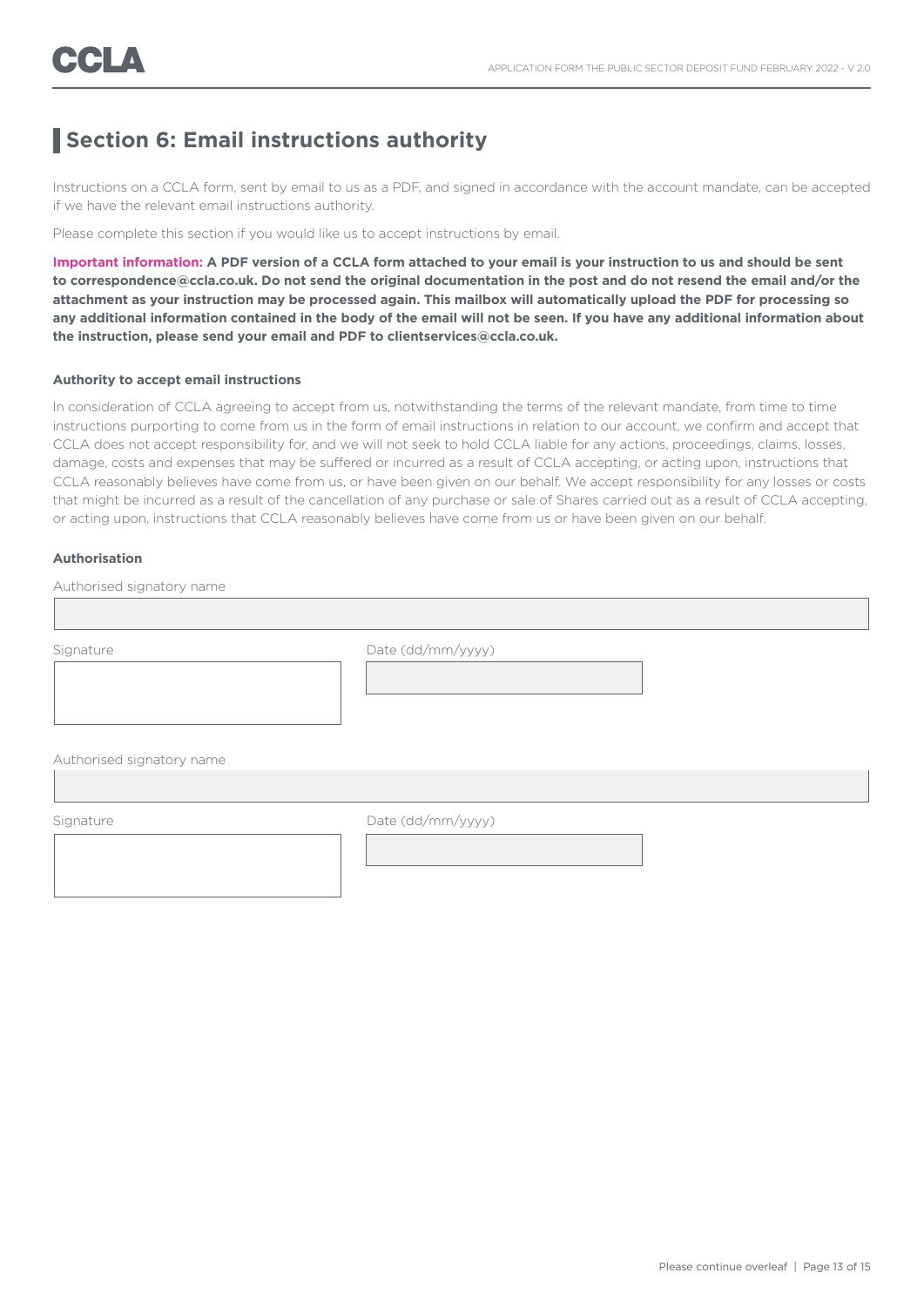## **Section 6: Email instructions authority**

Instructions on a CCLA form, sent by email to us as a PDF, and signed in accordance with the account mandate, can be accepted if we have the relevant email instructions authority.

Please complete this section if you would like us to accept instructions by email.

**Important information: A PDF version of a CCLA form attached to your email is your instruction to us and should be sent to correspondence@ccla.co.uk. Do not send the original documentation in the post and do not resend the email and/or the attachment as your instruction may be processed again. This mailbox will automatically upload the PDF for processing so any additional information contained in the body of the email will not be seen. If you have any additional information about the instruction, please send your email and PDF to clientservices@ccla.co.uk.**

### **Authority to accept email instructions**

In consideration of CCLA agreeing to accept from us, notwithstanding the terms of the relevant mandate, from time to time instructions purporting to come from us in the form of email instructions in relation to our account, we confirm and accept that CCLA does not accept responsibility for, and we will not seek to hold CCLA liable for any actions, proceedings, claims, losses, damage, costs and expenses that may be suffered or incurred as a result of CCLA accepting, or acting upon, instructions that CCLA reasonably believes have come from us, or have been given on our behalf. We accept responsibility for any losses or costs that might be incurred as a result of the cancellation of any purchase or sale of Shares carried out as a result of CCLA accepting, or acting upon, instructions that CCLA reasonably believes have come from us or have been given on our behalf.

### **Authorisation**

Authorised signatory name

I

Signature Date (dd/mm/yyyy)

Authorised signatory name

Signature Date (dd/mm/yyyy)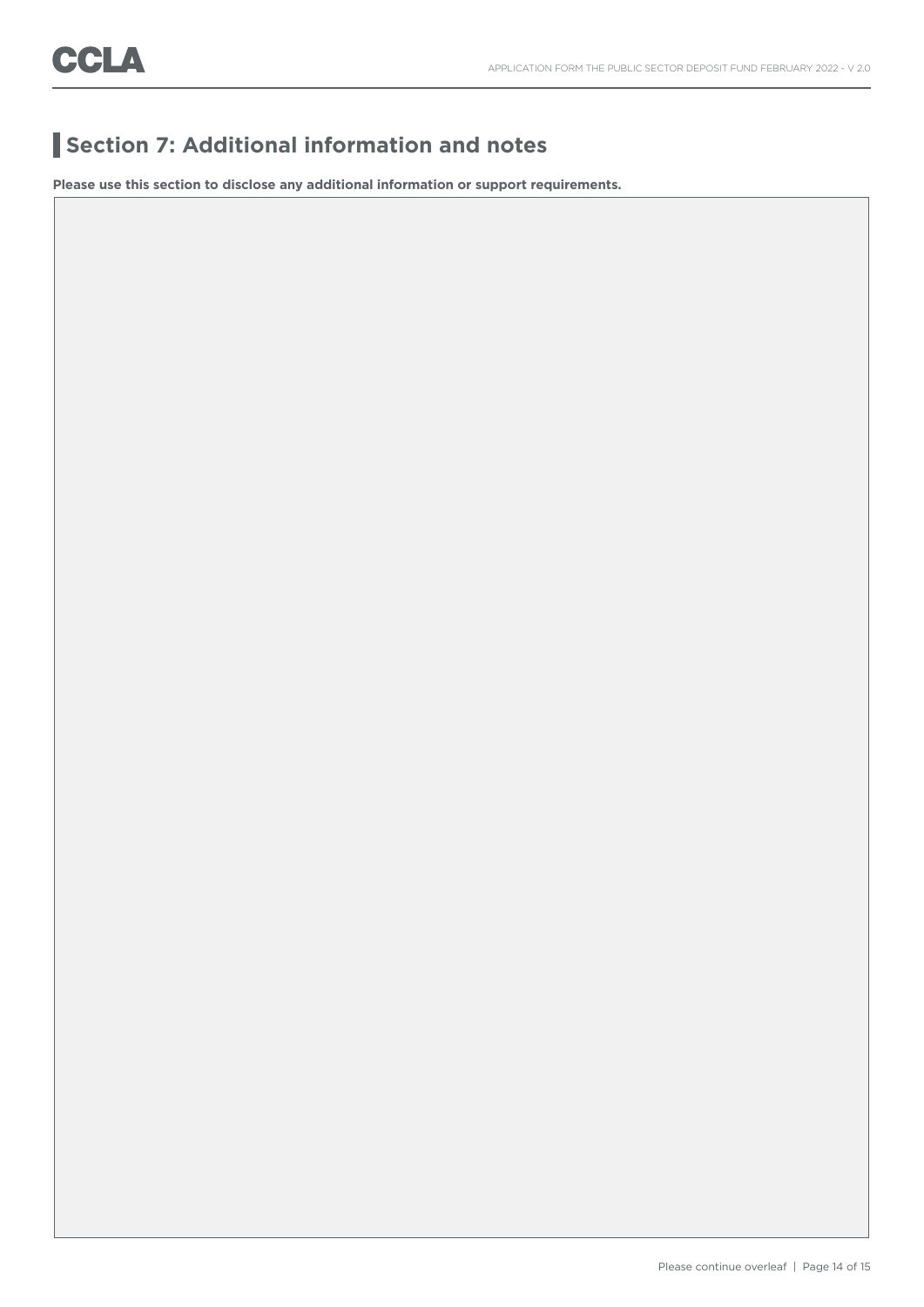## **Section 7: Additional information and notes**

**Please use this section to disclose any additional information or support requirements.**